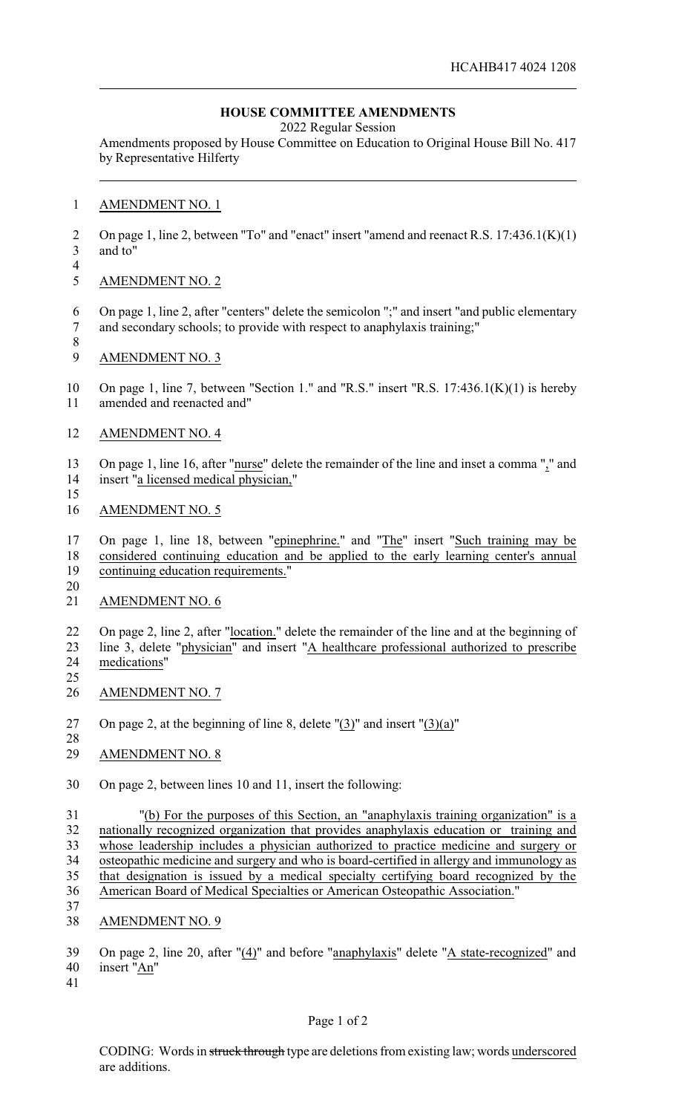## **HOUSE COMMITTEE AMENDMENTS**

2022 Regular Session

Amendments proposed by House Committee on Education to Original House Bill No. 417 by Representative Hilferty

## AMENDMENT NO. 1

 On page 1, line 2, between "To" and "enact" insert "amend and reenact R.S. 17:436.1(K)(1) and to"

AMENDMENT NO. 2

- On page 1, line 2, after "centers" delete the semicolon ";" and insert "and public elementary
- and secondary schools; to provide with respect to anaphylaxis training;"
- AMENDMENT NO. 3

10 On page 1, line 7, between "Section 1." and "R.S." insert "R.S. 17:436.1(K)(1) is hereby amended and reenacted and"

AMENDMENT NO. 4

 On page 1, line 16, after "nurse" delete the remainder of the line and inset a comma "," and 14 insert "a licensed medical physician,"

AMENDMENT NO. 5

 On page 1, line 18, between "epinephrine." and "The" insert "Such training may be considered continuing education and be applied to the early learning center's annual

continuing education requirements."

 $\frac{20}{21}$ 

AMENDMENT NO. 6

22 On page 2, line 2, after "location." delete the remainder of the line and at the beginning of line 3, delete "physician" and insert "A healthcare professional authorized to prescribe

 medications" 

- AMENDMENT NO. 7
- 27 On page 2, at the beginning of line 8, delete  $\Gamma(3)$ " and insert  $\Gamma(3)(a)$ "
- AMENDMENT NO. 8
- On page 2, between lines 10 and 11, insert the following:

 "(b) For the purposes of this Section, an "anaphylaxis training organization" is a nationally recognized organization that provides anaphylaxis education or training and whose leadership includes a physician authorized to practice medicine and surgery or osteopathic medicine and surgery and who is board-certified in allergy and immunology as that designation is issued by a medical specialty certifying board recognized by the American Board of Medical Specialties or American Osteopathic Association."

AMENDMENT NO. 9

 On page 2, line 20, after "(4)" and before "anaphylaxis" delete "A state-recognized" and insert "An"